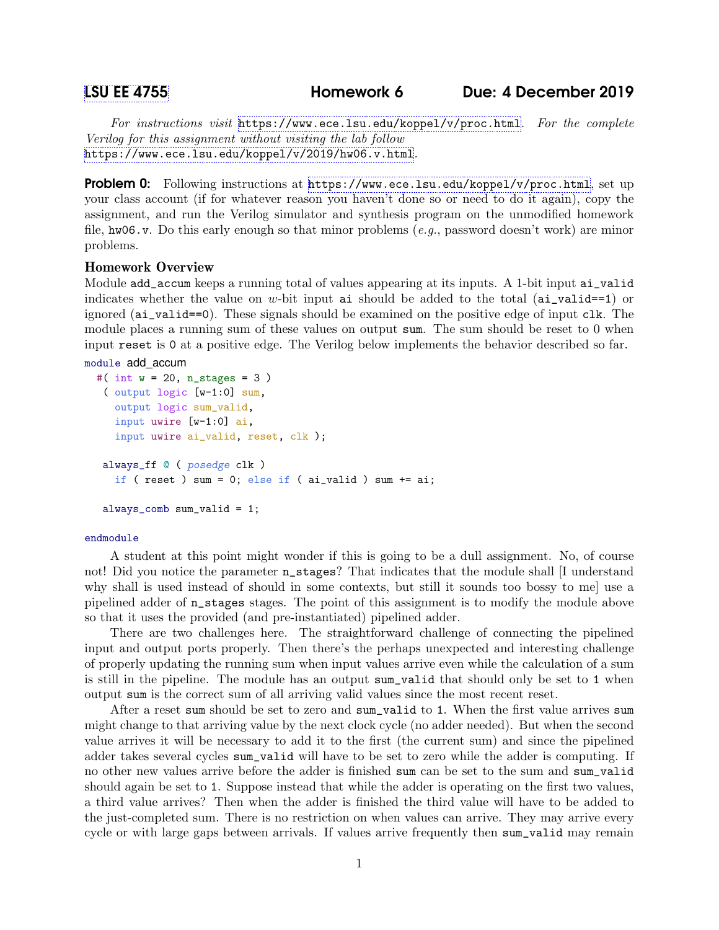For instructions visit <https://www.ece.lsu.edu/koppel/v/proc.html>. For the complete Verilog for this assignment without visiting the lab follow <https://www.ece.lsu.edu/koppel/v/2019/hw06.v.html>.

**Problem 0:** Following instructions at <https://www.ece.lsu.edu/koppel/v/proc.html>, set up your class account (if for whatever reason you haven't done so or need to do it again), copy the assignment, and run the Verilog simulator and synthesis program on the unmodified homework file, hw06.v. Do this early enough so that minor problems (e.g., password doesn't work) are minor problems.

# Homework Overview

Module add\_accum keeps a running total of values appearing at its inputs. A 1-bit input ai\_valid indicates whether the value on w-bit input ai should be added to the total  $(ai_valid==1)$  or ignored (ai\_valid==0). These signals should be examined on the positive edge of input clk. The module places a running sum of these values on output sum. The sum should be reset to 0 when input reset is 0 at a positive edge. The Verilog below implements the behavior described so far.

```
module add_accum
```

```
#( int w = 20, n_stages = 3)
 ( output logic [w-1:0] sum,
   output logic sum_valid,
   input uwire [w-1:0] ai,
   input uwire ai_valid, reset, clk );
 always_ff @ ( posedge clk )
   if ( reset ) sum = 0; else if ( ai_valid ) sum += ai;
 always_comb sum_valid = 1;
```
### endmodule

A student at this point might wonder if this is going to be a dull assignment. No, of course not! Did you notice the parameter n\_stages? That indicates that the module shall [I understand why shall is used instead of should in some contexts, but still it sounds too bossy to me] use a pipelined adder of n\_stages stages. The point of this assignment is to modify the module above so that it uses the provided (and pre-instantiated) pipelined adder.

There are two challenges here. The straightforward challenge of connecting the pipelined input and output ports properly. Then there's the perhaps unexpected and interesting challenge of properly updating the running sum when input values arrive even while the calculation of a sum is still in the pipeline. The module has an output sum\_valid that should only be set to 1 when output sum is the correct sum of all arriving valid values since the most recent reset.

After a reset sum should be set to zero and sum\_valid to 1. When the first value arrives sum might change to that arriving value by the next clock cycle (no adder needed). But when the second value arrives it will be necessary to add it to the first (the current sum) and since the pipelined adder takes several cycles sum\_valid will have to be set to zero while the adder is computing. If no other new values arrive before the adder is finished sum can be set to the sum and sum\_valid should again be set to 1. Suppose instead that while the adder is operating on the first two values, a third value arrives? Then when the adder is finished the third value will have to be added to the just-completed sum. There is no restriction on when values can arrive. They may arrive every cycle or with large gaps between arrivals. If values arrive frequently then sum\_valid may remain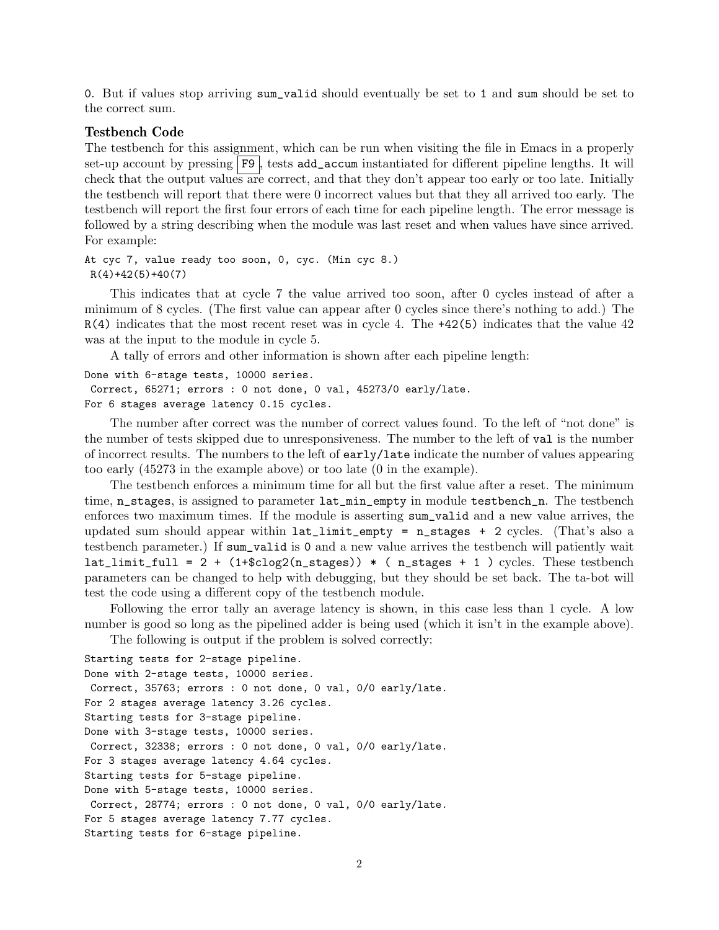0. But if values stop arriving sum\_valid should eventually be set to 1 and sum should be set to the correct sum.

## Testbench Code

The testbench for this assignment, which can be run when visiting the file in Emacs in a properly set-up account by pressing F9 , tests add\_accum instantiated for different pipeline lengths. It will check that the output values are correct, and that they don't appear too early or too late. Initially the testbench will report that there were 0 incorrect values but that they all arrived too early. The testbench will report the first four errors of each time for each pipeline length. The error message is followed by a string describing when the module was last reset and when values have since arrived. For example:

At cyc 7, value ready too soon, 0, cyc. (Min cyc 8.)  $R(4)+42(5)+40(7)$ 

This indicates that at cycle 7 the value arrived too soon, after 0 cycles instead of after a minimum of 8 cycles. (The first value can appear after 0 cycles since there's nothing to add.) The R(4) indicates that the most recent reset was in cycle 4. The +42(5) indicates that the value 42 was at the input to the module in cycle 5.

A tally of errors and other information is shown after each pipeline length:

```
Done with 6-stage tests, 10000 series.
Correct, 65271; errors : 0 not done, 0 val, 45273/0 early/late.
For 6 stages average latency 0.15 cycles.
```
The number after correct was the number of correct values found. To the left of "not done" is the number of tests skipped due to unresponsiveness. The number to the left of val is the number of incorrect results. The numbers to the left of early/late indicate the number of values appearing too early (45273 in the example above) or too late (0 in the example).

The testbench enforces a minimum time for all but the first value after a reset. The minimum time, n\_stages, is assigned to parameter  $lat\_min\_empty$  in module testbench\_n. The testbench enforces two maximum times. If the module is asserting sum\_valid and a new value arrives, the updated sum should appear within  $lat\_limit\_empty = n\_stages + 2 cycles.$  (That's also a testbench parameter.) If sum\_valid is 0 and a new value arrives the testbench will patiently wait lat\_limit\_full =  $2 + (1+\$clog2(n\_stages)) * (n\_stages + 1) cycles.$  These testbench parameters can be changed to help with debugging, but they should be set back. The ta-bot will test the code using a different copy of the testbench module.

Following the error tally an average latency is shown, in this case less than 1 cycle. A low number is good so long as the pipelined adder is being used (which it isn't in the example above).

The following is output if the problem is solved correctly:

```
Starting tests for 2-stage pipeline.
Done with 2-stage tests, 10000 series.
Correct, 35763; errors : 0 not done, 0 val, 0/0 early/late.
For 2 stages average latency 3.26 cycles.
Starting tests for 3-stage pipeline.
Done with 3-stage tests, 10000 series.
Correct, 32338; errors : 0 not done, 0 val, 0/0 early/late.
For 3 stages average latency 4.64 cycles.
Starting tests for 5-stage pipeline.
Done with 5-stage tests, 10000 series.
Correct, 28774; errors : 0 not done, 0 val, 0/0 early/late.
For 5 stages average latency 7.77 cycles.
Starting tests for 6-stage pipeline.
```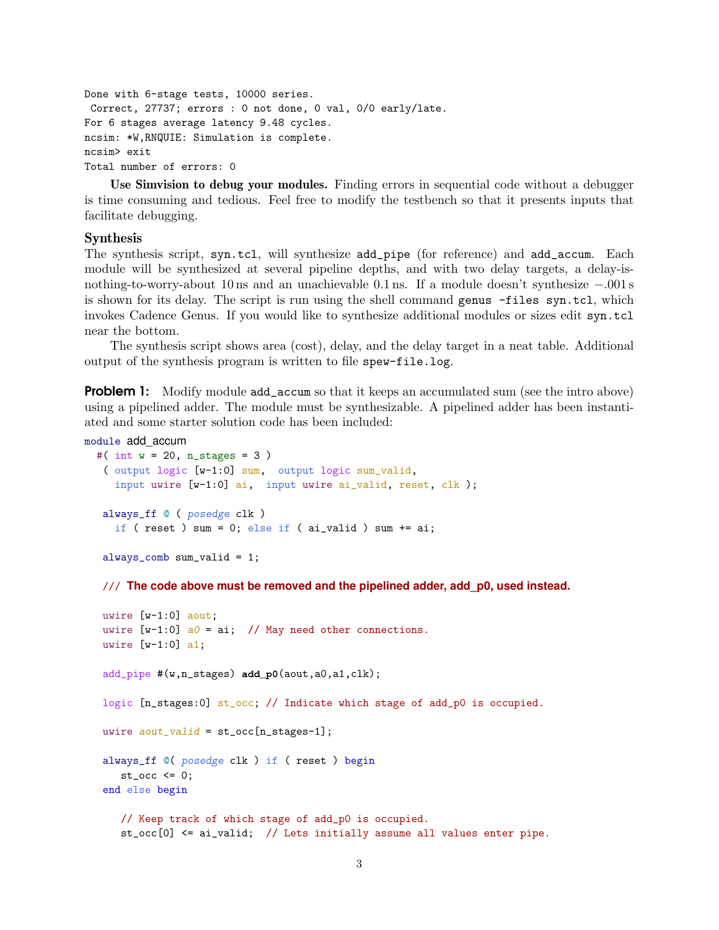```
Done with 6-stage tests, 10000 series.
Correct, 27737; errors : 0 not done, 0 val, 0/0 early/late.
For 6 stages average latency 9.48 cycles.
ncsim: *W,RNQUIE: Simulation is complete.
ncsim> exit
Total number of errors: 0
```
Use Simvision to debug your modules. Finding errors in sequential code without a debugger is time consuming and tedious. Feel free to modify the testbench so that it presents inputs that facilitate debugging.

# Synthesis

The synthesis script, syn.tcl, will synthesize add\_pipe (for reference) and add\_accum. Each module will be synthesized at several pipeline depths, and with two delay targets, a delay-isnothing-to-worry-about 10 ns and an unachievable 0.1 ns. If a module doesn't synthesize −.001 s is shown for its delay. The script is run using the shell command genus -files syn.tcl, which invokes Cadence Genus. If you would like to synthesize additional modules or sizes edit syn.tcl near the bottom.

The synthesis script shows area (cost), delay, and the delay target in a neat table. Additional output of the synthesis program is written to file spew-file.log.

**Problem 1:** Modify module add\_accum so that it keeps an accumulated sum (see the intro above) using a pipelined adder. The module must be synthesizable. A pipelined adder has been instantiated and some starter solution code has been included:

```
module add_accum
```

```
#( int w = 20, n_stages = 3 )
 ( output logic [w-1:0] sum, output logic sum_valid,
   input uwire [w-1:0] ai, input uwire ai_valid, reset, clk );
always_ff @ ( posedge clk )
   if ( reset ) sum = 0; else if ( ai-valid ) sum += ai;
```
always\_comb sum\_valid = 1;

/// **The code above must be removed and the pipelined adder, add\_p0, used instead.**

```
uwire [w-1:0] aout;
uwire [w-1:0] a0 = ai; // May need other connections.
uwire [w-1:0] a1;
add_pipe #(w,n_stages) add_p0(aout,a0,a1,clk);
logic [n_stages:0] st_occ; // Indicate which stage of add_p0 is occupied.
uwire aout\_valid = st\_occ[n\_stages-1];
always_ff @( posedge clk ) if ( reset ) begin
   st\_occ \leq 0;end else begin
   // Keep track of which stage of add_p0 is occupied.
   st_occ[0] <= ai_valid; // Lets initially assume all values enter pipe.
```